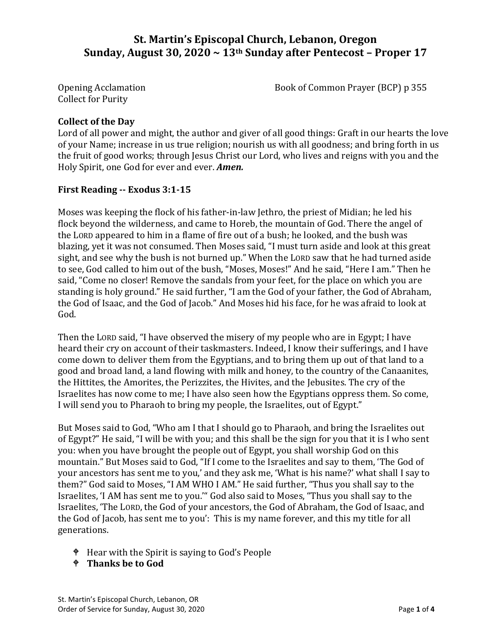# **St. Martin's Episcopal Church, Lebanon, Oregon Sunday, August 30, 2020 ~ 13th Sunday after Pentecost – Proper 17**

Collect for Purity

Opening Acclamation Book of Common Prayer (BCP) p 355

### **Collect of the Day**

Lord of all power and might, the author and giver of all good things: Graft in our hearts the love of your Name; increase in us true religion; nourish us with all goodness; and bring forth in us the fruit of good works; through Jesus Christ our Lord, who lives and reigns with you and the Holy Spirit, one God for ever and ever. *Amen.*

### **First Reading -- Exodus 3:1-15**

Moses was keeping the flock of his father-in-law Jethro, the priest of Midian; he led his flock beyond the wilderness, and came to Horeb, the mountain of God. There the angel of the LORD appeared to him in a flame of fire out of a bush; he looked, and the bush was blazing, yet it was not consumed. Then Moses said, "I must turn aside and look at this great sight, and see why the bush is not burned up." When the LORD saw that he had turned aside to see, God called to him out of the bush, "Moses, Moses!" And he said, "Here I am." Then he said, "Come no closer! Remove the sandals from your feet, for the place on which you are standing is holy ground." He said further, "I am the God of your father, the God of Abraham, the God of Isaac, and the God of Jacob." And Moses hid his face, for he was afraid to look at God.

Then the LORD said, "I have observed the misery of my people who are in Egypt; I have heard their cry on account of their taskmasters. Indeed, I know their sufferings, and I have come down to deliver them from the Egyptians, and to bring them up out of that land to a good and broad land, a land flowing with milk and honey, to the country of the Canaanites, the Hittites, the Amorites, the Perizzites, the Hivites, and the Jebusites. The cry of the Israelites has now come to me; I have also seen how the Egyptians oppress them. So come, I will send you to Pharaoh to bring my people, the Israelites, out of Egypt."

But Moses said to God, "Who am I that I should go to Pharaoh, and bring the Israelites out of Egypt?" He said, "I will be with you; and this shall be the sign for you that it is I who sent you: when you have brought the people out of Egypt, you shall worship God on this mountain." But Moses said to God, "If I come to the Israelites and say to them, 'The God of your ancestors has sent me to you,' and they ask me, 'What is his name?' what shall I say to them?" God said to Moses, "I AM WHO I AM." He said further, "Thus you shall say to the Israelites, 'I AM has sent me to you.'" God also said to Moses, "Thus you shall say to the Israelites, 'The LORD, the God of your ancestors, the God of Abraham, the God of Isaac, and the God of Jacob, has sent me to you': This is my name forever, and this my title for all generations.

- $\bullet$  Hear with the Spirit is saying to God's People
- **Thanks be to God**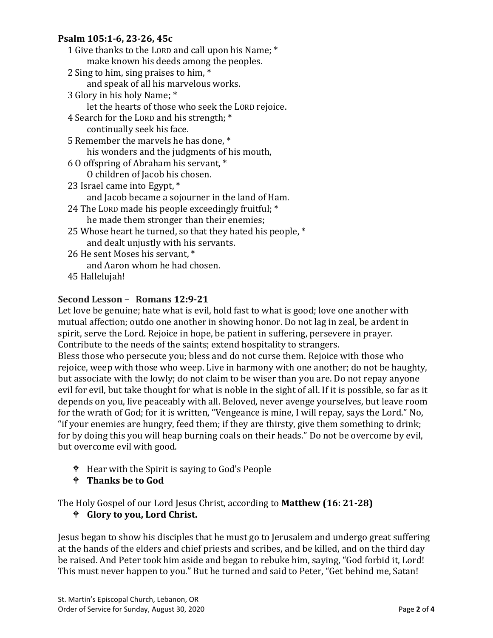# **Psalm 105:1-6, 23-26, 45c**

| 1 Give thanks to the LORD and call upon his Name; *        |
|------------------------------------------------------------|
| make known his deeds among the peoples.                    |
| 2 Sing to him, sing praises to him, *                      |
| and speak of all his marvelous works.                      |
| 3 Glory in his holy Name; *                                |
| let the hearts of those who seek the LORD rejoice.         |
| 4 Search for the LORD and his strength; *                  |
| continually seek his face.                                 |
| 5 Remember the marvels he has done, *                      |
| his wonders and the judgments of his mouth,                |
| 6 0 offspring of Abraham his servant, *                    |
| O children of Jacob his chosen.                            |
| 23 Israel came into Egypt, *                               |
| and Jacob became a sojourner in the land of Ham.           |
| 24 The LORD made his people exceedingly fruitful; *        |
| he made them stronger than their enemies;                  |
| 25 Whose heart he turned, so that they hated his people, * |
| and dealt unjustly with his servants.                      |
| 26 He sent Moses his servant, *                            |
| and Aaron whom he had chosen.                              |

45 Hallelujah!

#### **Second Lesson – Romans 12:9-21**

Let love be genuine; hate what is evil, hold fast to what is good; love one another with mutual affection; outdo one another in showing honor. Do not lag in zeal, be ardent in spirit, serve the Lord. Rejoice in hope, be patient in suffering, persevere in prayer. Contribute to the needs of the saints; extend hospitality to strangers.

Bless those who persecute you; bless and do not curse them. Rejoice with those who rejoice, weep with those who weep. Live in harmony with one another; do not be haughty, but associate with the lowly; do not claim to be wiser than you are. Do not repay anyone evil for evil, but take thought for what is noble in the sight of all. If it is possible, so far as it depends on you, live peaceably with all. Beloved, never avenge yourselves, but leave room for the wrath of God; for it is written, "Vengeance is mine, I will repay, says the Lord." No, "if your enemies are hungry, feed them; if they are thirsty, give them something to drink; for by doing this you will heap burning coals on their heads." Do not be overcome by evil, but overcome evil with good.

- Hear with the Spirit is saying to God's People
- **Thanks be to God**

The Holy Gospel of our Lord Jesus Christ, according to **Matthew (16: 21-28)**

**Glory to you, Lord Christ.**

Jesus began to show his disciples that he must go to Jerusalem and undergo great suffering at the hands of the elders and chief priests and scribes, and be killed, and on the third day be raised. And Peter took him aside and began to rebuke him, saying, "God forbid it, Lord! This must never happen to you." But he turned and said to Peter, "Get behind me, Satan!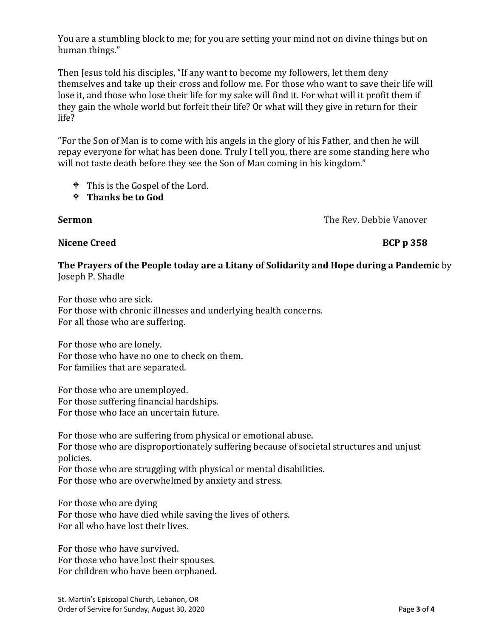You are a stumbling block to me; for you are setting your mind not on divine things but on human things."

Then Jesus told his disciples, "If any want to become my followers, let them deny themselves and take up their cross and follow me. For those who want to save their life will lose it, and those who lose their life for my sake will find it. For what will it profit them if they gain the whole world but forfeit their life? Or what will they give in return for their life?

"For the Son of Man is to come with his angels in the glory of his Father, and then he will repay everyone for what has been done. Truly I tell you, there are some standing here who will not taste death before they see the Son of Man coming in his kingdom."

- This is the Gospel of the Lord.
- **Thanks be to God**

**Sermon** The Rev. Debbie Vanover

# **Nicene Creed BCP p 358**

# **The Prayers of the People today are a Litany of Solidarity and Hope during a Pandemic** by Joseph P. Shadle

For those who are sick. For those with chronic illnesses and underlying health concerns. For all those who are suffering.

For those who are lonely. For those who have no one to check on them. For families that are separated.

For those who are unemployed. For those suffering financial hardships. For those who face an uncertain future.

For those who are suffering from physical or emotional abuse. For those who are disproportionately suffering because of societal structures and unjust policies.

For those who are struggling with physical or mental disabilities. For those who are overwhelmed by anxiety and stress.

For those who are dying For those who have died while saving the lives of others. For all who have lost their lives.

For those who have survived. For those who have lost their spouses. For children who have been orphaned.